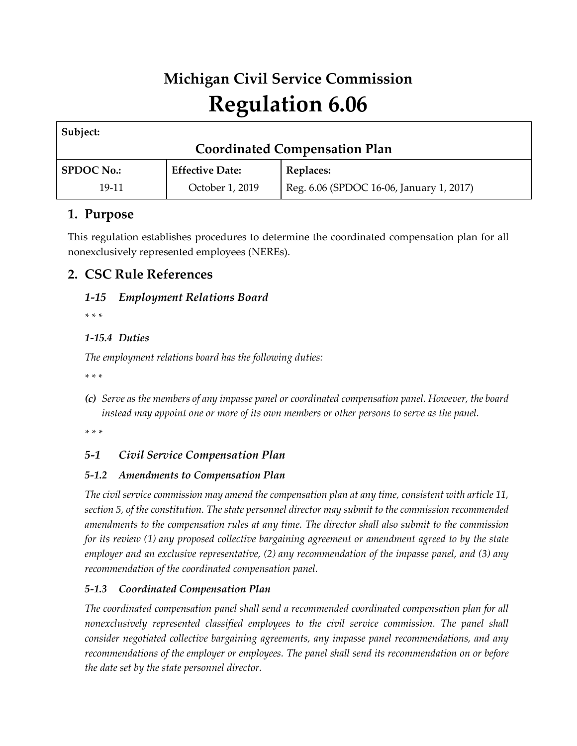# **Michigan Civil Service Commission Regulation 6.06**

| Subject:                             |                        |                                          |
|--------------------------------------|------------------------|------------------------------------------|
| <b>Coordinated Compensation Plan</b> |                        |                                          |
| <b>SPDOC No.:</b>                    | <b>Effective Date:</b> | Replaces:                                |
| 19-11                                | October 1, 2019        | Reg. 6.06 (SPDOC 16-06, January 1, 2017) |

# **1. Purpose**

This regulation establishes procedures to determine the coordinated compensation plan for all nonexclusively represented employees (NEREs).

# **2. CSC Rule References**

## *1-15 Employment Relations Board*

*\* \* \** 

### *1-15.4 Duties*

*The employment relations board has the following duties:* 

*\* \* \** 

*(c) Serve as the members of any impasse panel or coordinated compensation panel. However, the board instead may appoint one or more of its own members or other persons to serve as the panel.*

*\* \* \** 

### *5-1 Civil Service Compensation Plan*

### *5-1.2 Amendments to Compensation Plan*

*The civil service commission may amend the compensation plan at any time, consistent with article 11, section 5, of the constitution. The state personnel director may submit to the commission recommended amendments to the compensation rules at any time. The director shall also submit to the commission for its review (1) any proposed collective bargaining agreement or amendment agreed to by the state employer and an exclusive representative, (2) any recommendation of the impasse panel, and (3) any recommendation of the coordinated compensation panel.*

### *5-1.3 Coordinated Compensation Plan*

*The coordinated compensation panel shall send a recommended coordinated compensation plan for all nonexclusively represented classified employees to the civil service commission. The panel shall consider negotiated collective bargaining agreements, any impasse panel recommendations, and any recommendations of the employer or employees. The panel shall send its recommendation on or before the date set by the state personnel director.*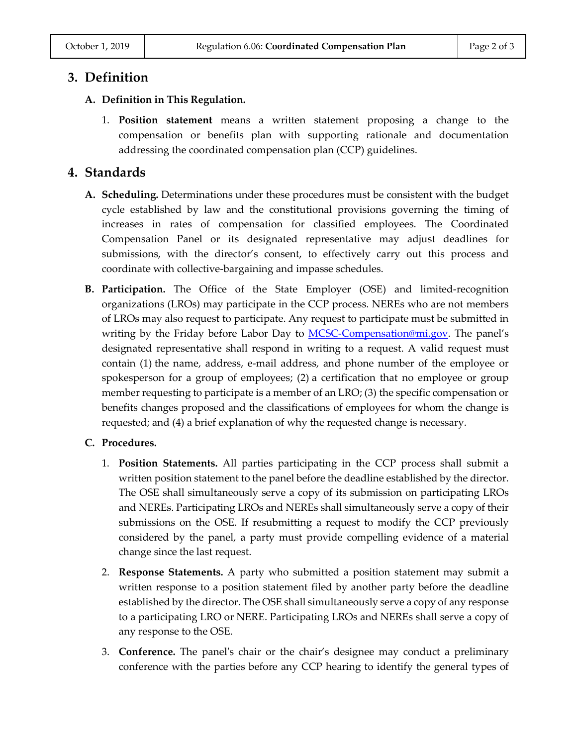## **3. Definition**

#### **A. Definition in This Regulation.**

1. **Position statement** means a written statement proposing a change to the compensation or benefits plan with supporting rationale and documentation addressing the coordinated compensation plan (CCP) guidelines.

## **4. Standards**

- **A. Scheduling.** Determinations under these procedures must be consistent with the budget cycle established by law and the constitutional provisions governing the timing of increases in rates of compensation for classified employees. The Coordinated Compensation Panel or its designated representative may adjust deadlines for submissions, with the director's consent, to effectively carry out this process and coordinate with collective-bargaining and impasse schedules.
- **B. Participation.** The Office of the State Employer (OSE) and limited-recognition organizations (LROs) may participate in the CCP process. NEREs who are not members of LROs may also request to participate. Any request to participate must be submitted in writing by the Friday before Labor Day to **MCSC-Compensation@mi.gov**. The panel's designated representative shall respond in writing to a request. A valid request must contain (1) the name, address, e-mail address, and phone number of the employee or spokesperson for a group of employees; (2) a certification that no employee or group member requesting to participate is a member of an LRO; (3) the specific compensation or benefits changes proposed and the classifications of employees for whom the change is requested; and (4) a brief explanation of why the requested change is necessary.

#### **C. Procedures.**

- 1. **Position Statements.** All parties participating in the CCP process shall submit a written position statement to the panel before the deadline established by the director. The OSE shall simultaneously serve a copy of its submission on participating LROs and NEREs. Participating LROs and NEREs shall simultaneously serve a copy of their submissions on the OSE. If resubmitting a request to modify the CCP previously considered by the panel, a party must provide compelling evidence of a material change since the last request.
- 2. **Response Statements.** A party who submitted a position statement may submit a written response to a position statement filed by another party before the deadline established by the director. The OSE shall simultaneously serve a copy of any response to a participating LRO or NERE. Participating LROs and NEREs shall serve a copy of any response to the OSE.
- 3. **Conference.** The panel's chair or the chair's designee may conduct a preliminary conference with the parties before any CCP hearing to identify the general types of